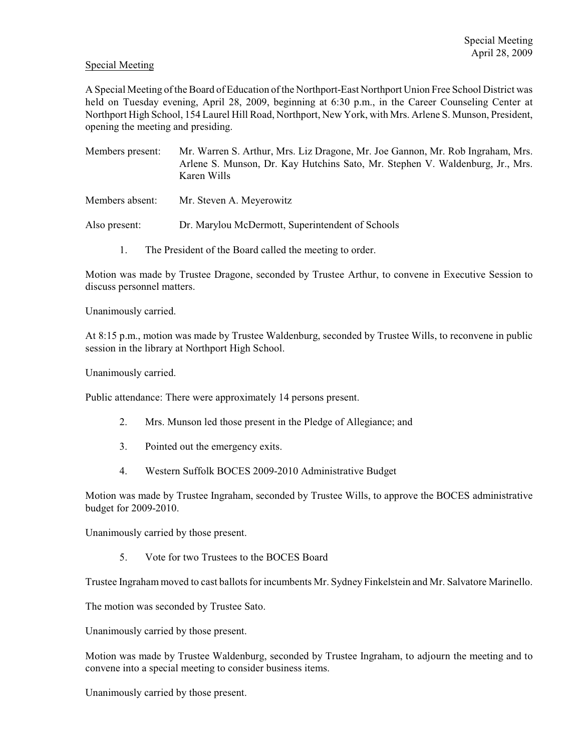## Special Meeting

A Special Meeting of the Board of Education of the Northport-East Northport Union Free School District was held on Tuesday evening, April 28, 2009, beginning at 6:30 p.m., in the Career Counseling Center at Northport High School, 154 Laurel Hill Road, Northport, New York, with Mrs. Arlene S. Munson, President, opening the meeting and presiding.

- Members present: Mr. Warren S. Arthur, Mrs. Liz Dragone, Mr. Joe Gannon, Mr. Rob Ingraham, Mrs. Arlene S. Munson, Dr. Kay Hutchins Sato, Mr. Stephen V. Waldenburg, Jr., Mrs. Karen Wills
- Members absent: Mr. Steven A. Meyerowitz
- Also present: Dr. Marylou McDermott, Superintendent of Schools
	- 1. The President of the Board called the meeting to order.

Motion was made by Trustee Dragone, seconded by Trustee Arthur, to convene in Executive Session to discuss personnel matters.

Unanimously carried.

At 8:15 p.m., motion was made by Trustee Waldenburg, seconded by Trustee Wills, to reconvene in public session in the library at Northport High School.

Unanimously carried.

Public attendance: There were approximately 14 persons present.

- 2. Mrs. Munson led those present in the Pledge of Allegiance; and
- 3. Pointed out the emergency exits.
- 4. Western Suffolk BOCES 2009-2010 Administrative Budget

Motion was made by Trustee Ingraham, seconded by Trustee Wills, to approve the BOCES administrative budget for 2009-2010.

Unanimously carried by those present.

5. Vote for two Trustees to the BOCES Board

Trustee Ingraham moved to cast ballots for incumbents Mr. Sydney Finkelstein and Mr. Salvatore Marinello.

The motion was seconded by Trustee Sato.

Unanimously carried by those present.

Motion was made by Trustee Waldenburg, seconded by Trustee Ingraham, to adjourn the meeting and to convene into a special meeting to consider business items.

Unanimously carried by those present.